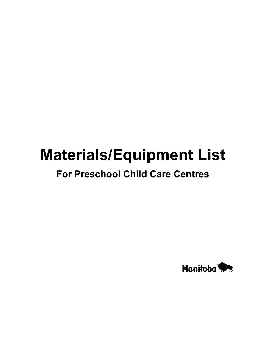# **Materials/Equipment List**

### **For Preschool Child Care Centres**

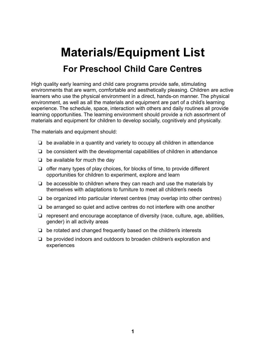## **Materials/Equipment List For Preschool Child Care Centres**

High quality early learning and child care programs provide safe, stimulating environments that are warm, comfortable and aesthetically pleasing. Children are active learners who use the physical environment in a direct, hands-on manner. The physical environment, as well as all the materials and equipment are part of a child's learning experience. The schedule, space, interaction with others and daily routines all provide learning opportunities. The learning environment should provide a rich assortment of materials and equipment for children to develop socially, cognitively and physically.

The materials and equipment should:

- $\Box$  be available in a quantity and variety to occupy all children in attendance
- $\Box$  be consistent with the developmental capabilities of children in attendance
- $\Box$  be available for much the day
- $\Box$  offer many types of play choices, for blocks of time, to provide different opportunities for children to experiment, explore and learn
- $\Box$  be accessible to children where they can reach and use the materials by themselves with adaptations to furniture to meet all children's needs
- $\Box$  be organized into particular interest centres (may overlap into other centres)
- $\Box$  be arranged so quiet and active centres do not interfere with one another
- $\Box$  represent and encourage acceptance of diversity (race, culture, age, abilities, gender) in all activity areas
- $\Box$  be rotated and changed frequently based on the children's interests
- $\Box$  be provided indoors and outdoors to broaden children's exploration and experiences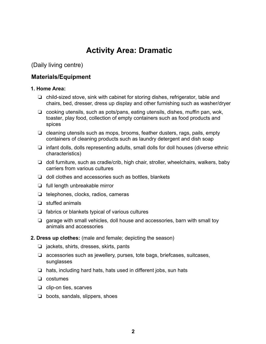### **Activity Area: Dramatic**

(Daily living centre)

### **Materials/Equipment**

### **1. Home Area:**

- $\Box$  child-sized stove, sink with cabinet for storing dishes, refrigerator, table and chairs, bed, dresser, dress up display and other furnishing such as washer/dryer
- $\Box$  cooking utensils, such as pots/pans, eating utensils, dishes, muffin pan, wok, toaster, play food, collection of empty containers such as food products and spices
- $\Box$  cleaning utensils such as mops, brooms, feather dusters, rags, pails, empty containers of cleaning products such as laundry detergent and dish soap
- $\Box$  infant dolls, dolls representing adults, small dolls for doll houses (diverse ethnic characteristics)
- $\Box$  doll furniture, such as cradle/crib, high chair, stroller, wheelchairs, walkers, baby carriers from various cultures
- $\Box$  doll clothes and accessories such as bottles, blankets
- $\Box$  full length unbreakable mirror
- $\Box$  telephones, clocks, radios, cameras
- $\Box$  stuffed animals
- $\Box$  fabrics or blankets typical of various cultures
- $\Box$  garage with small vehicles, doll house and accessories, barn with small toy animals and accessories
- **2. Dress up clothes:** (male and female; depicting the season)
	- $\Box$  jackets, shirts, dresses, skirts, pants
	- $\Box$  accessories such as jewellery, purses, tote bags, briefcases, suitcases, sunglasses
	- $\Box$  hats, including hard hats, hats used in different jobs, sun hats
	- $\Box$  costumes
	- $\Box$  clip-on ties, scarves
	- $\Box$  boots, sandals, slippers, shoes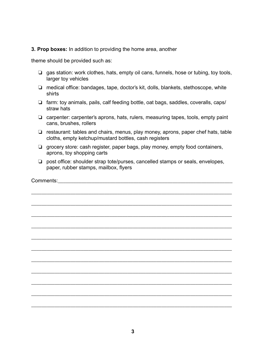**3. Prop boxes:** In addition to providing the home area, another

theme should be provided such as:

- $\Box$  gas station: work clothes, hats, empty oil cans, funnels, hose or tubing, toy tools, larger toy vehicles
- $\Box$  medical office: bandages, tape, doctor's kit, dolls, blankets, stethoscope, white shirts
- $\Box$  farm: toy animals, pails, calf feeding bottle, oat bags, saddles, coveralls, caps/ straw hats
- $\Box$  carpenter: carpenter's aprons, hats, rulers, measuring tapes, tools, empty paint cans, brushes, rollers
- $\Box$  restaurant: tables and chairs, menus, play money, aprons, paper chef hats, table cloths, empty ketchup/mustard bottles, cash registers
- $\Box$  grocery store: cash register, paper bags, play money, empty food containers, aprons, toy shopping carts
- $\Box$  post office: shoulder strap tote/purses, cancelled stamps or seals, envelopes, paper, rubber stamps, mailbox, flyers

\_\_\_\_\_\_\_\_\_\_\_\_\_\_\_\_\_\_\_\_\_\_\_\_\_\_\_\_\_\_\_\_\_\_\_\_\_\_\_\_\_\_\_\_\_\_\_\_\_\_\_\_\_\_\_\_\_\_\_\_\_\_\_\_\_\_\_\_\_\_\_\_\_\_\_\_\_

Comments:

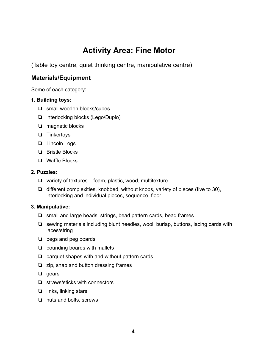### **Activity Area: Fine Motor**

(Table toy centre, quiet thinking centre, manipulative centre)

### **Materials/Equipment**

Some of each category:

### **1. Building toys:**

- $\Box$  small wooden blocks/cubes
- $\Box$  interlocking blocks (Lego/Duplo)
- $\Box$  magnetic blocks
- $\Box$  Tinkertoys
- $\Box$  Lincoln Logs
- $\Box$  Bristle Blocks
- $\Box$  Waffle Blocks

### **2. Puzzles:**

- $\Box$  variety of textures foam, plastic, wood, multitexture
- $\Box$  different complexities, knobbed, without knobs, variety of pieces (five to 30), interlocking and individual pieces, sequence, floor

### **3. Manipulative:**

- $\Box$  small and large beads, strings, bead pattern cards, bead frames
- $\Box$  sewing materials including blunt needles, wool, burlap, buttons, lacing cards with laces/string
- $\Box$  pegs and peg boards
- $\Box$  pounding boards with mallets
- $\Box$  parquet shapes with and without pattern cards
- $\Box$  zip, snap and button dressing frames
- $\Box$  gears
- $\Box$  straws/sticks with connectors
- $\Box$  links, linking stars
- $\Box$  nuts and bolts, screws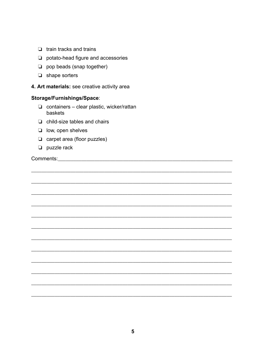|  |  | $\Box$ train tracks and trains |  |  |
|--|--|--------------------------------|--|--|
|--|--|--------------------------------|--|--|

- $\Box$  potato-head figure and accessories
- $\Box$  pop beads (snap together)
- $\Box$  shape sorters
- 4. Art materials: see creative activity area

#### Storage/Furnishings/Space:

- $\Box$  containers clear plastic, wicker/rattan baskets
- $\Box$  child-size tables and chairs
- $\Box$  low, open shelves
- $\Box$  carpet area (floor puzzles)
- $\Box$  puzzle rack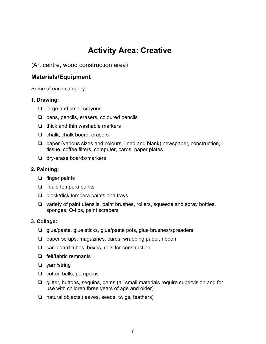### **Activity Area: Creative**

(Art centre, wood construction area)

### **Materials/Equipment**

Some of each category:

### **1. Drawing:**

- $\Box$  large and small crayons
- $\Box$  pens, pencils, erasers, coloured pencils
- $\Box$  thick and thin washable markers
- $\Box$  chalk, chalk board, erasers
- $\Box$  paper (various sizes and colours, lined and blank) newspaper, construction, tissue, coffee filters, computer, cards, paper plates
- $\Box$  dry-erase boards/markers

### **2. Painting:**

- $\Box$  finger paints
- $\Box$  liquid tempera paints
- $\Box$  block/disk tempera paints and trays
- $\Box$  variety of paint utensils, paint brushes, rollers, squeeze and spray bottles, sponges, Q-tips, paint scrapers

### **3. Collage:**

- $\Box$  glue/paste, glue sticks, glue/paste pots, glue brushes/spreaders
- $\Box$  paper scraps, magazines, cards, wrapping paper, ribbon
- $\Box$  cardboard tubes, boxes, rolls for construction
- $\Box$  felt/fabric remnants
- $\Box$  yarn/string
- $\Box$  cotton balls, pompoms
- $\Box$  glitter, buttons, sequins, gems (all small materials require supervision and for use with children three years of age and older)
- $\Box$  natural objects (leaves, seeds, twigs, feathers)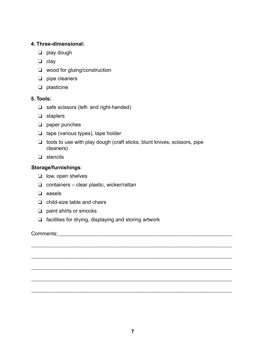### **4. Three-dimensional:**

- $\Box$  play dough
- $\Box$  clay
- $\Box$  wood for gluing/construction
- $\nabla$  pipe cleaners
- $\Box$  plasticine

### **5. Tools:**

- $\Box$  safe scissors (left- and right-handed)
- $\Box$  staplers
- $\Box$  paper punches
- $\Box$  tape (various types), tape holder
- $\Box$  tools to use with play dough (craft sticks, blunt knives, scissors, pipe cleaners)
- $\Box$  stencils

### **Storage/furnishings**:

- $\Box$  low, open shelves
- $\Box$  containers clear plastic, wicker/rattan
- $\Box$  easels
- $\Box$  child-size table and chairs
- $\Box$  paint shirts or smocks
- $\Box$  facilities for drying, displaying and storing artwork

### Comments:

\_\_\_\_\_\_\_\_\_\_\_\_\_\_\_\_\_\_\_\_\_\_\_\_\_\_\_\_\_\_\_\_\_\_\_\_\_\_\_\_\_\_\_\_\_\_\_\_\_\_\_\_\_\_\_\_\_\_\_\_\_\_\_\_\_\_\_\_\_\_\_\_\_\_\_\_\_

\_\_\_\_\_\_\_\_\_\_\_\_\_\_\_\_\_\_\_\_\_\_\_\_\_\_\_\_\_\_\_\_\_\_\_\_\_\_\_\_\_\_\_\_\_\_\_\_\_\_\_\_\_\_\_\_\_\_\_\_\_\_\_\_\_\_\_\_\_\_\_\_\_\_\_\_\_

\_\_\_\_\_\_\_\_\_\_\_\_\_\_\_\_\_\_\_\_\_\_\_\_\_\_\_\_\_\_\_\_\_\_\_\_\_\_\_\_\_\_\_\_\_\_\_\_\_\_\_\_\_\_\_\_\_\_\_\_\_\_\_\_\_\_\_\_\_\_\_\_\_\_\_\_\_

\_\_\_\_\_\_\_\_\_\_\_\_\_\_\_\_\_\_\_\_\_\_\_\_\_\_\_\_\_\_\_\_\_\_\_\_\_\_\_\_\_\_\_\_\_\_\_\_\_\_\_\_\_\_\_\_\_\_\_\_\_\_\_\_\_\_\_\_\_\_\_\_\_\_\_\_\_

\_\_\_\_\_\_\_\_\_\_\_\_\_\_\_\_\_\_\_\_\_\_\_\_\_\_\_\_\_\_\_\_\_\_\_\_\_\_\_\_\_\_\_\_\_\_\_\_\_\_\_\_\_\_\_\_\_\_\_\_\_\_\_\_\_\_\_\_\_\_\_\_\_\_\_\_\_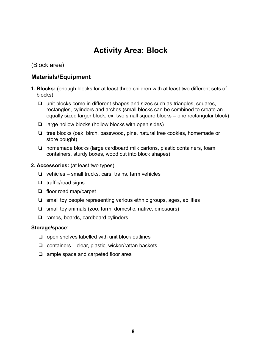### **Activity Area: Block**

(Block area)

### **Materials/Equipment**

- **1. Blocks:** (enough blocks for at least three children with at least two different sets of blocks)
	- $\Box$  unit blocks come in different shapes and sizes such as triangles, squares, rectangles, cylinders and arches (small blocks can be combined to create an equally sized larger block, ex: two small square blocks = one rectangular block)
	- $\Box$  large hollow blocks (hollow blocks with open sides)
	- $\Box$  tree blocks (oak, birch, basswood, pine, natural tree cookies, homemade or store bought)
	- $\Box$  homemade blocks (large cardboard milk cartons, plastic containers, foam containers, sturdy boxes, wood cut into block shapes)

### **2. Accessories:** (at least two types)

- $\Box$  vehicles small trucks, cars, trains, farm vehicles
- $\Box$  traffic/road signs
- $\Box$  floor road map/carpet
- $\Box$  small toy people representing various ethnic groups, ages, abilities
- $\Box$  small toy animals (zoo, farm, domestic, native, dinosaurs)
- $\Box$  ramps, boards, cardboard cylinders

### **Storage/space**:

- $\Box$  open shelves labelled with unit block outlines
- $\Box$  containers clear, plastic, wicker/rattan baskets
- $\Box$  ample space and carpeted floor area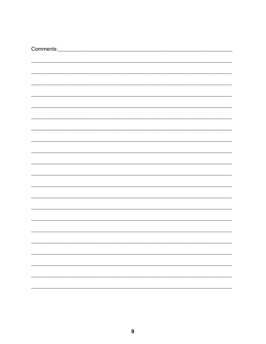| $\overline{\phantom{0}}$ |
|--------------------------|
|                          |
|                          |
|                          |
|                          |
| $\overline{\phantom{0}}$ |
|                          |
| $\overline{\phantom{0}}$ |
|                          |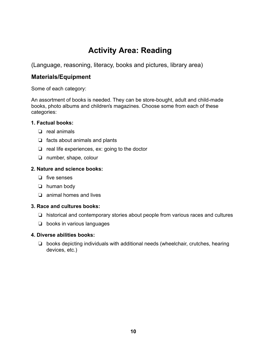### **Activity Area: Reading**

(Language, reasoning, literacy, books and pictures, library area)

### **Materials/Equipment**

Some of each category:

An assortment of books is needed. They can be store-bought, adult and child-made books, photo albums and children's magazines. Choose some from each of these categories:

### **1. Factual books:**

- $\Box$  real animals
- $\Box$  facts about animals and plants
- $\Box$  real life experiences, ex: going to the doctor
- $\Box$  number, shape, colour

### **2. Nature and science books:**

- $\Box$  five senses
- $\Box$  human body
- $\Box$  animal homes and lives

### **3. Race and cultures books:**

- $\Box$  historical and contemporary stories about people from various races and cultures
- $\Box$  books in various languages

### **4. Diverse abilities books:**

 $\Box$  books depicting individuals with additional needs (wheelchair, crutches, hearing devices, etc.)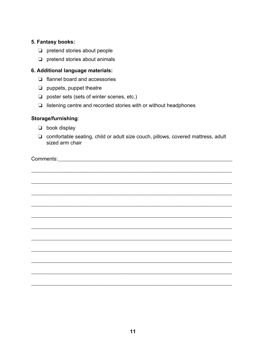### 5. Fantasy books:

- $\Box$  pretend stories about people
- $\Box$  pretend stories about animals

### 6. Additional language materials:

- $\Box$  flannel board and accessories
- $\Box$  puppets, puppet theatre
- $\Box$  poster sets (sets of winter scenes, etc.)
- $\Box$  listening centre and recorded stories with or without headphones

### Storage/furnishing:

- $\Box$  book display
- □ comfortable seating, child or adult size couch, pillows, covered mattress, adult sized arm chair

**Comments:** Comments: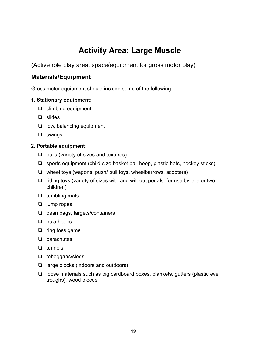### **Activity Area: Large Muscle**

(Active role play area, space/equipment for gross motor play)

### **Materials/Equipment**

Gross motor equipment should include some of the following:

### **1. Stationary equipment:**

- $\Box$  climbing equipment
- $\Box$  slides
- $\Box$  low, balancing equipment
- $\Box$  swings

### **2. Portable equipment:**

- $\Box$  balls (variety of sizes and textures)
- $\Box$  sports equipment (child-size basket ball hoop, plastic bats, hockey sticks)
- $\Box$  wheel toys (wagons, push/ pull toys, wheelbarrows, scooters)
- $\Box$  riding toys (variety of sizes with and without pedals, for use by one or two children)
- $\Box$  tumbling mats
- $\Box$  jump ropes
- $\Box$  bean bags, targets/containers
- $\Box$  hula hoops
- $\Box$  ring toss game
- $\Box$  parachutes
- $\Box$  tunnels
- $\Box$  toboggans/sleds
- $\Box$  large blocks (indoors and outdoors)
- $\Box$  loose materials such as big cardboard boxes, blankets, gutters (plastic eve troughs), wood pieces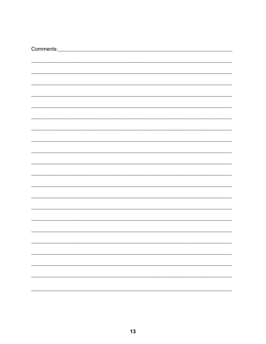| Comments:_               |
|--------------------------|
|                          |
|                          |
|                          |
|                          |
|                          |
|                          |
|                          |
|                          |
|                          |
|                          |
|                          |
|                          |
|                          |
|                          |
|                          |
|                          |
|                          |
|                          |
|                          |
|                          |
|                          |
|                          |
|                          |
|                          |
|                          |
|                          |
|                          |
|                          |
|                          |
|                          |
|                          |
|                          |
|                          |
|                          |
|                          |
|                          |
|                          |
|                          |
| $\overline{\phantom{0}}$ |
|                          |
| -                        |
|                          |
| Ξ.                       |
|                          |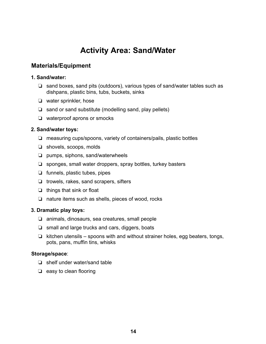### **Activity Area: Sand/Water**

### **Materials/Equipment**

### **1. Sand/water:**

- $\Box$  sand boxes, sand pits (outdoors), various types of sand/water tables such as dishpans, plastic bins, tubs, buckets, sinks
- $\Box$  water sprinkler, hose
- $\Box$  sand or sand substitute (modelling sand, play pellets)
- $\Box$  waterproof aprons or smocks

### **2. Sand/water toys:**

- $\Box$  measuring cups/spoons, variety of containers/pails, plastic bottles
- $\Box$  shovels, scoops, molds
- $\Box$  pumps, siphons, sand/waterwheels
- $\Box$  sponges, small water droppers, spray bottles, turkey basters
- $\Box$  funnels, plastic tubes, pipes
- $\Box$  trowels, rakes, sand scrapers, sifters
- $\Box$  things that sink or float
- $\Box$  nature items such as shells, pieces of wood, rocks

### **3. Dramatic play toys:**

- $\Box$  animals, dinosaurs, sea creatures, small people
- $\Box$  small and large trucks and cars, diggers, boats
- $\Box$  kitchen utensils spoons with and without strainer holes, egg beaters, tongs, pots, pans, muffin tins, whisks

### **Storage/space**:

- $\Box$  shelf under water/sand table
- $\Box$  easy to clean flooring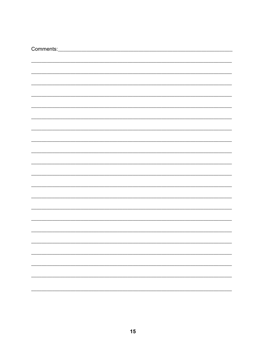| Comments:_               |
|--------------------------|
|                          |
|                          |
|                          |
|                          |
|                          |
|                          |
|                          |
|                          |
|                          |
|                          |
|                          |
|                          |
|                          |
|                          |
|                          |
|                          |
|                          |
|                          |
|                          |
|                          |
|                          |
|                          |
|                          |
|                          |
|                          |
|                          |
|                          |
|                          |
|                          |
|                          |
|                          |
|                          |
|                          |
|                          |
|                          |
|                          |
|                          |
|                          |
| $\overline{\phantom{0}}$ |
|                          |
| -                        |
|                          |
| Ξ.                       |
|                          |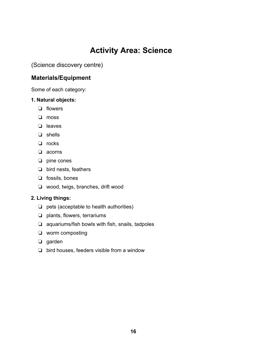### **Activity Area: Science**

(Science discovery centre)

### **Materials/Equipment**

Some of each category:

### **1. Natural objects:**

- $\Box$  flowers
- $\Box$  moss
- $\Box$  leaves
- $\Box$  shells
- $\Box$  rocks
- $\Box$  acorns
- $\Box$  pine cones
- $\Box$  bird nests, feathers
- $\Box$  fossils, bones
- $\Box$  wood, twigs, branches, drift wood

### **2. Living things:**

- $\Box$  pets (acceptable to health authorities)
- $\Box$  plants, flowers, terrariums
- $\Box$  aquariums/fish bowls with fish, snails, tadpoles
- $\Box$  worm composting
- $\Box$  garden
- $\Box$  bird houses, feeders visible from a window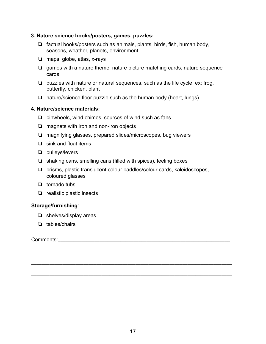#### **3. Nature science books/posters, games, puzzles:**

- $\Box$  factual books/posters such as animals, plants, birds, fish, human body, seasons, weather, planets, environment
- $\Box$  maps, globe, atlas, x-rays
- $\Box$  games with a nature theme, nature picture matching cards, nature sequence cards
- $\Box$  puzzles with nature or natural sequences, such as the life cycle, ex: frog, butterfly, chicken, plant
- $\Box$  nature/science floor puzzle such as the human body (heart, lungs)

### **4. Nature/science materials:**

- $\Box$  pinwheels, wind chimes, sources of wind such as fans
- $\Box$  magnets with iron and non-iron objects
- $\Box$  magnifying glasses, prepared slides/microscopes, bug viewers
- $\Box$  sink and float items
- $\Box$  pulleys/levers
- $\Box$  shaking cans, smelling cans (filled with spices), feeling boxes
- $\Box$  prisms, plastic translucent colour paddles/colour cards, kaleidoscopes, coloured glasses
- $\Box$  tornado tubs
- $\Box$  realistic plastic insects

### **Storage/furnishing**:

- $\Box$  shelves/display areas
- $\Box$  tables/chairs

Comments:\_\_\_\_\_\_\_\_\_\_\_\_\_\_\_\_\_\_\_\_\_\_\_\_\_\_\_\_\_\_\_\_\_\_\_\_\_\_\_\_\_\_\_\_\_\_\_\_\_\_\_\_\_\_\_\_\_\_\_\_\_\_\_\_\_\_

\_\_\_\_\_\_\_\_\_\_\_\_\_\_\_\_\_\_\_\_\_\_\_\_\_\_\_\_\_\_\_\_\_\_\_\_\_\_\_\_\_\_\_\_\_\_\_\_\_\_\_\_\_\_\_\_\_\_\_\_\_\_\_\_\_\_\_\_\_\_\_\_\_\_\_\_\_

\_\_\_\_\_\_\_\_\_\_\_\_\_\_\_\_\_\_\_\_\_\_\_\_\_\_\_\_\_\_\_\_\_\_\_\_\_\_\_\_\_\_\_\_\_\_\_\_\_\_\_\_\_\_\_\_\_\_\_\_\_\_\_\_\_\_\_\_\_\_\_\_\_\_\_\_\_

\_\_\_\_\_\_\_\_\_\_\_\_\_\_\_\_\_\_\_\_\_\_\_\_\_\_\_\_\_\_\_\_\_\_\_\_\_\_\_\_\_\_\_\_\_\_\_\_\_\_\_\_\_\_\_\_\_\_\_\_\_\_\_\_\_\_\_\_\_\_\_\_\_\_\_\_\_

\_\_\_\_\_\_\_\_\_\_\_\_\_\_\_\_\_\_\_\_\_\_\_\_\_\_\_\_\_\_\_\_\_\_\_\_\_\_\_\_\_\_\_\_\_\_\_\_\_\_\_\_\_\_\_\_\_\_\_\_\_\_\_\_\_\_\_\_\_\_\_\_\_\_\_\_\_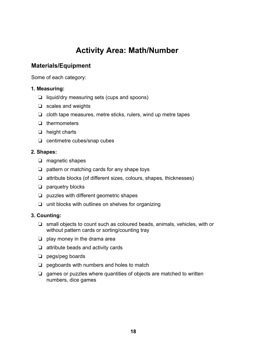### **Activity Area: Math/Number**

### **Materials/Equipment**

Some of each category:

### **1. Measuring:**

- $\Box$  liquid/dry measuring sets (cups and spoons)
- $\Box$  scales and weights
- $\Box$  cloth tape measures, metre sticks, rulers, wind up metre tapes
- $\Box$  thermometers
- $\Box$  height charts
- $\Box$  centimetre cubes/snap cubes

### **2. Shapes:**

- $\Box$  magnetic shapes
- $\Box$  pattern or matching cards for any shape toys
- $\Box$  attribute blocks (of different sizes, colours, shapes, thicknesses)
- $\Box$  parquetry blocks
- $\Box$  puzzles with different geometric shapes
- $\Box$  unit blocks with outlines on shelves for organizing

### **3. Counting:**

- $\Box$  small objects to count such as coloured beads, animals, vehicles, with or without pattern cards or sorting/counting tray
- $\Box$  play money in the drama area
- $\Box$  attribute beads and activity cards
- $\Box$  pegs/peg boards
- $\Box$  pegboards with numbers and holes to match
- $\Box$  games or puzzles where quantities of objects are matched to written numbers, dice games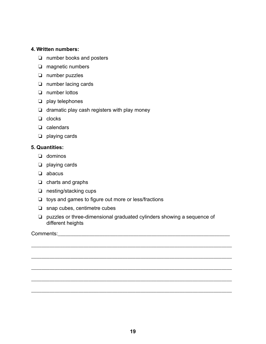### **4. Written numbers:**

- $\Box$  number books and posters
- $\Box$  magnetic numbers
- $\Box$  number puzzles
- $\Box$  number lacing cards
- $\Box$  number lottos
- $\Box$  play telephones
- $\Box$  dramatic play cash registers with play money
- $\Box$  clocks
- $\Box$  calendars
- $\Box$  playing cards

### **5. Quantities:**

- $\Box$  dominos
- $\Box$  playing cards
- $\Box$  abacus
- $\Box$  charts and graphs
- $\Box$  nesting/stacking cups
- $\Box$  toys and games to figure out more or less/fractions
- $\Box$  snap cubes, centimetre cubes
- $\Box$  puzzles or three-dimensional graduated cylinders showing a sequence of different heights

\_\_\_\_\_\_\_\_\_\_\_\_\_\_\_\_\_\_\_\_\_\_\_\_\_\_\_\_\_\_\_\_\_\_\_\_\_\_\_\_\_\_\_\_\_\_\_\_\_\_\_\_\_\_\_\_\_\_\_\_\_\_\_\_\_\_\_\_\_\_\_\_\_\_\_\_\_

\_\_\_\_\_\_\_\_\_\_\_\_\_\_\_\_\_\_\_\_\_\_\_\_\_\_\_\_\_\_\_\_\_\_\_\_\_\_\_\_\_\_\_\_\_\_\_\_\_\_\_\_\_\_\_\_\_\_\_\_\_\_\_\_\_\_\_\_\_\_\_\_\_\_\_\_\_

\_\_\_\_\_\_\_\_\_\_\_\_\_\_\_\_\_\_\_\_\_\_\_\_\_\_\_\_\_\_\_\_\_\_\_\_\_\_\_\_\_\_\_\_\_\_\_\_\_\_\_\_\_\_\_\_\_\_\_\_\_\_\_\_\_\_\_\_\_\_\_\_\_\_\_\_\_

\_\_\_\_\_\_\_\_\_\_\_\_\_\_\_\_\_\_\_\_\_\_\_\_\_\_\_\_\_\_\_\_\_\_\_\_\_\_\_\_\_\_\_\_\_\_\_\_\_\_\_\_\_\_\_\_\_\_\_\_\_\_\_\_\_\_\_\_\_\_\_\_\_\_\_\_\_

\_\_\_\_\_\_\_\_\_\_\_\_\_\_\_\_\_\_\_\_\_\_\_\_\_\_\_\_\_\_\_\_\_\_\_\_\_\_\_\_\_\_\_\_\_\_\_\_\_\_\_\_\_\_\_\_\_\_\_\_\_\_\_\_\_\_\_\_\_\_\_\_\_\_\_\_\_

Comments: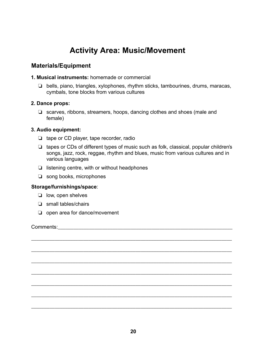### **Activity Area: Music/Movement**

### **Materials/Equipment**

#### **1. Musical instruments:** homemade or commercial

 $\Box$  bells, piano, triangles, xylophones, rhythm sticks, tambourines, drums, maracas, cymbals, tone blocks from various cultures

### **2. Dance props:**

 $\Box$  scarves, ribbons, streamers, hoops, dancing clothes and shoes (male and female)

### **3. Audio equipment:**

- $\Box$  tape or CD player, tape recorder, radio
- $\Box$  tapes or CDs of different types of music such as folk, classical, popular children's songs, jazz, rock, reggae, rhythm and blues, music from various cultures and in various languages
- $\Box$  listening centre, with or without headphones
- $\Box$  song books, microphones

#### **Storage/furnishings/space**:

- $\Box$  low, open shelves
- $\Box$  small tables/chairs
- $\Box$  open area for dance/movement

Comments:

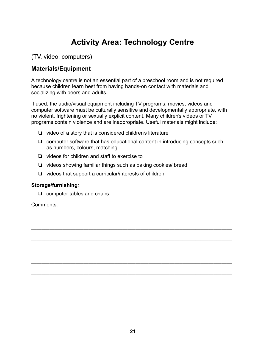### **Activity Area: Technology Centre**

### (TV, video, computers)

### **Materials/Equipment**

A technology centre is not an essential part of a preschool room and is not required because children learn best from having hands-on contact with materials and socializing with peers and adults.

If used, the audio/visual equipment including TV programs, movies, videos and computer software must be culturally sensitive and developmentally appropriate, with no violent, frightening or sexually explicit content. Many children's videos or TV programs contain violence and are inappropriate. Useful materials might include:

- $\Box$  video of a story that is considered children's literature
- $\Box$  computer software that has educational content in introducing concepts such as numbers, colours, matching

\_\_\_\_\_\_\_\_\_\_\_\_\_\_\_\_\_\_\_\_\_\_\_\_\_\_\_\_\_\_\_\_\_\_\_\_\_\_\_\_\_\_\_\_\_\_\_\_\_\_\_\_\_\_\_\_\_\_\_\_\_\_\_\_\_\_\_\_\_\_\_\_\_\_\_\_\_

\_\_\_\_\_\_\_\_\_\_\_\_\_\_\_\_\_\_\_\_\_\_\_\_\_\_\_\_\_\_\_\_\_\_\_\_\_\_\_\_\_\_\_\_\_\_\_\_\_\_\_\_\_\_\_\_\_\_\_\_\_\_\_\_\_\_\_\_\_\_\_\_\_\_\_\_\_

\_\_\_\_\_\_\_\_\_\_\_\_\_\_\_\_\_\_\_\_\_\_\_\_\_\_\_\_\_\_\_\_\_\_\_\_\_\_\_\_\_\_\_\_\_\_\_\_\_\_\_\_\_\_\_\_\_\_\_\_\_\_\_\_\_\_\_\_\_\_\_\_\_\_\_\_\_

\_\_\_\_\_\_\_\_\_\_\_\_\_\_\_\_\_\_\_\_\_\_\_\_\_\_\_\_\_\_\_\_\_\_\_\_\_\_\_\_\_\_\_\_\_\_\_\_\_\_\_\_\_\_\_\_\_\_\_\_\_\_\_\_\_\_\_\_\_\_\_\_\_\_\_\_\_

\_\_\_\_\_\_\_\_\_\_\_\_\_\_\_\_\_\_\_\_\_\_\_\_\_\_\_\_\_\_\_\_\_\_\_\_\_\_\_\_\_\_\_\_\_\_\_\_\_\_\_\_\_\_\_\_\_\_\_\_\_\_\_\_\_\_\_\_\_\_\_\_\_\_\_\_\_

\_\_\_\_\_\_\_\_\_\_\_\_\_\_\_\_\_\_\_\_\_\_\_\_\_\_\_\_\_\_\_\_\_\_\_\_\_\_\_\_\_\_\_\_\_\_\_\_\_\_\_\_\_\_\_\_\_\_\_\_\_\_\_\_\_\_\_\_\_\_\_\_\_\_\_\_\_

- $\Box$  videos for children and staff to exercise to
- $\Box$  videos showing familiar things such as baking cookies/ bread
- $\Box$  videos that support a curricular/interests of children

### **Storage/furnishing***:*

 $\Box$  computer tables and chairs

Comments:\_\_\_\_\_\_\_\_\_\_\_\_\_\_\_\_\_\_\_\_\_\_\_\_\_\_\_\_\_\_\_\_\_\_\_\_\_\_\_\_\_\_\_\_\_\_\_\_\_\_\_\_\_\_\_\_\_\_\_\_\_\_\_\_\_\_\_